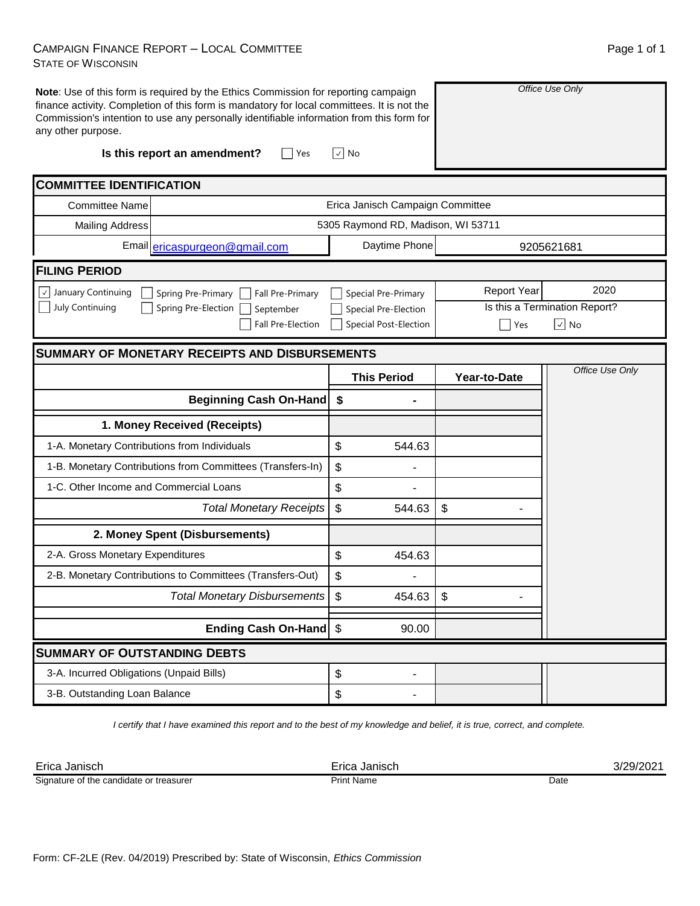## CAMPAIGN FINANCE REPORT – LOCAL COMMITTEE STATE OF WISCONSIN

| any other purpose.                             | Note: Use of this form is required by the Ethics Commission for reporting campaign<br>finance activity. Completion of this form is mandatory for local committees. It is not the<br>Commission's intention to use any personally identifiable information from this form for<br>Is this report an amendment?<br>Yes | √  No                                     | Office Use Only                 |                               |  |  |  |  |
|------------------------------------------------|---------------------------------------------------------------------------------------------------------------------------------------------------------------------------------------------------------------------------------------------------------------------------------------------------------------------|-------------------------------------------|---------------------------------|-------------------------------|--|--|--|--|
| <b>COMMITTEE IDENTIFICATION</b>                |                                                                                                                                                                                                                                                                                                                     |                                           |                                 |                               |  |  |  |  |
| <b>Committee Name</b>                          | Erica Janisch Campaign Committee                                                                                                                                                                                                                                                                                    |                                           |                                 |                               |  |  |  |  |
| <b>Mailing Address</b>                         |                                                                                                                                                                                                                                                                                                                     | 5305 Raymond RD, Madison, WI 53711        |                                 |                               |  |  |  |  |
|                                                | Email ericaspurgeon@gmail.com                                                                                                                                                                                                                                                                                       | Daytime Phone                             |                                 | 9205621681                    |  |  |  |  |
| <b>FILING PERIOD</b>                           |                                                                                                                                                                                                                                                                                                                     |                                           |                                 |                               |  |  |  |  |
| $\lfloor \sqrt{\ } \rfloor$ January Continuing | Spring Pre-Primary<br>Fall Pre-Primary                                                                                                                                                                                                                                                                              | Special Pre-Primary                       | <b>Report Year</b>              | 2020                          |  |  |  |  |
| July Continuing                                | Spring Pre-Election<br>September                                                                                                                                                                                                                                                                                    | Special Pre-Election                      |                                 | Is this a Termination Report? |  |  |  |  |
|                                                | <b>Fall Pre-Election</b>                                                                                                                                                                                                                                                                                            | Special Post-Election                     | $\vert \cdot \vert$ No<br>  Yes |                               |  |  |  |  |
| SUMMARY OF MONETARY RECEIPTS AND DISBURSEMENTS |                                                                                                                                                                                                                                                                                                                     |                                           |                                 |                               |  |  |  |  |
|                                                |                                                                                                                                                                                                                                                                                                                     | <b>This Period</b>                        | Year-to-Date                    | Office Use Only               |  |  |  |  |
|                                                | <b>Beginning Cash On-Hand</b>                                                                                                                                                                                                                                                                                       | \$                                        |                                 |                               |  |  |  |  |
|                                                | 1. Money Received (Receipts)                                                                                                                                                                                                                                                                                        |                                           |                                 |                               |  |  |  |  |
| 1-A. Monetary Contributions from Individuals   |                                                                                                                                                                                                                                                                                                                     | \$<br>544.63                              |                                 |                               |  |  |  |  |
|                                                | 1-B. Monetary Contributions from Committees (Transfers-In)                                                                                                                                                                                                                                                          | $\boldsymbol{\mathsf{S}}$                 |                                 |                               |  |  |  |  |
| 1-C. Other Income and Commercial Loans         |                                                                                                                                                                                                                                                                                                                     | $\boldsymbol{\mathsf{S}}$                 |                                 |                               |  |  |  |  |
|                                                | <b>Total Monetary Receipts</b>                                                                                                                                                                                                                                                                                      | $\mathfrak s$<br>544.63                   | \$                              |                               |  |  |  |  |
|                                                | 2. Money Spent (Disbursements)                                                                                                                                                                                                                                                                                      |                                           |                                 |                               |  |  |  |  |
| 2-A. Gross Monetary Expenditures               |                                                                                                                                                                                                                                                                                                                     | \$<br>454.63                              |                                 |                               |  |  |  |  |
|                                                | 2-B. Monetary Contributions to Committees (Transfers-Out)                                                                                                                                                                                                                                                           | \$                                        |                                 |                               |  |  |  |  |
|                                                | <b>Total Monetary Disbursements</b>                                                                                                                                                                                                                                                                                 | \$<br>454.63                              | \$                              |                               |  |  |  |  |
|                                                | Ending Cash On-Hand \$                                                                                                                                                                                                                                                                                              | 90.00                                     |                                 |                               |  |  |  |  |
| <b>SUMMARY OF OUTSTANDING DEBTS</b>            |                                                                                                                                                                                                                                                                                                                     |                                           |                                 |                               |  |  |  |  |
| 3-A. Incurred Obligations (Unpaid Bills)       |                                                                                                                                                                                                                                                                                                                     | $\, \, \raisebox{12pt}{$\scriptstyle \$}$ |                                 |                               |  |  |  |  |

*I certify that I have examined this report and to the best of my knowledge and belief, it is true, correct, and complete.*

 $\updownarrow$ 

Erica Janisch Erica Janisch 3/29/2021 Print Name Date Signature of the candidate or treasurer

3-B. Outstanding Loan Balance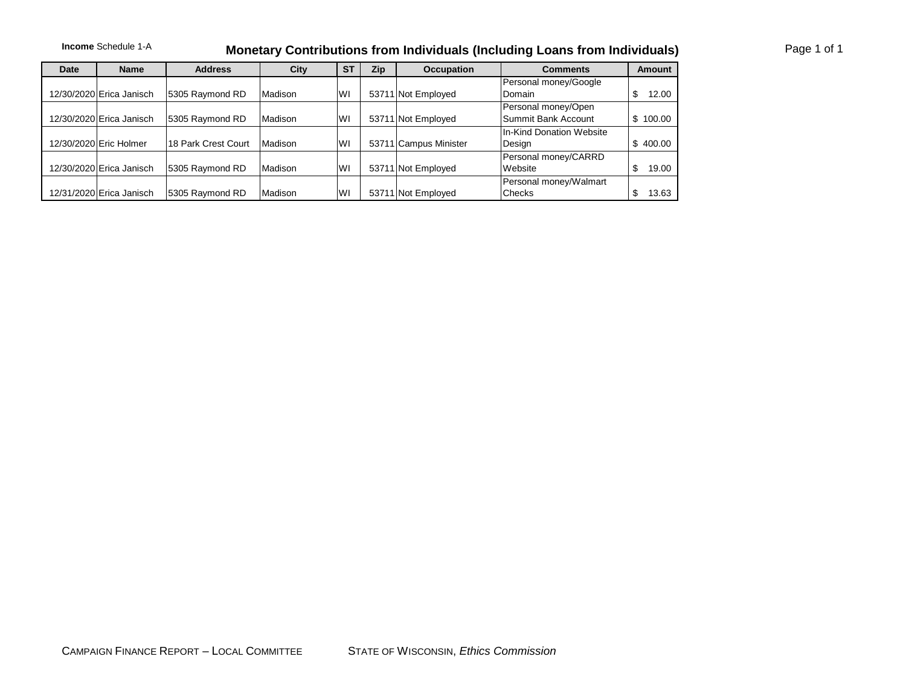## Income Schedule 1-A **Monetary Contributions from Individuals (Including Loans from Individuals)**

| Date | <b>Name</b>              | <b>Address</b>      | <b>City</b> | <b>ST</b> | Zip | <b>Occupation</b>     | <b>Comments</b>          | <b>Amount</b> |
|------|--------------------------|---------------------|-------------|-----------|-----|-----------------------|--------------------------|---------------|
|      |                          |                     |             |           |     |                       | Personal money/Google    |               |
|      | 12/30/2020 Erica Janisch | 5305 Raymond RD     | Madison     | lwı       |     | 53711 Not Employed    | <b>IDomain</b>           | 12.00         |
|      |                          |                     |             |           |     |                       | Personal money/Open      |               |
|      | 12/30/2020 Erica Janisch | 5305 Raymond RD     | Madison     | lwı       |     | 53711 Not Employed    | Summit Bank Account      | \$100.00      |
|      |                          |                     |             |           |     |                       | In-Kind Donation Website |               |
|      | 12/30/2020 Eric Holmer   | 18 Park Crest Court | Madison     | <b>WI</b> |     | 53711 Campus Minister | Design                   | \$400.00      |
|      |                          |                     |             |           |     |                       | Personal money/CARRD     |               |
|      | 12/30/2020 Erica Janisch | 5305 Raymond RD     | Madison     | lwı       |     | 53711 Not Employed    | <b>Website</b>           | 19.00         |
|      |                          |                     |             |           |     |                       | Personal money/Walmart   |               |
|      | 12/31/2020 Erica Janisch | 5305 Raymond RD     | Madison     | lwı       |     | 53711 Not Employed    | <b>Checks</b>            | 13.63         |